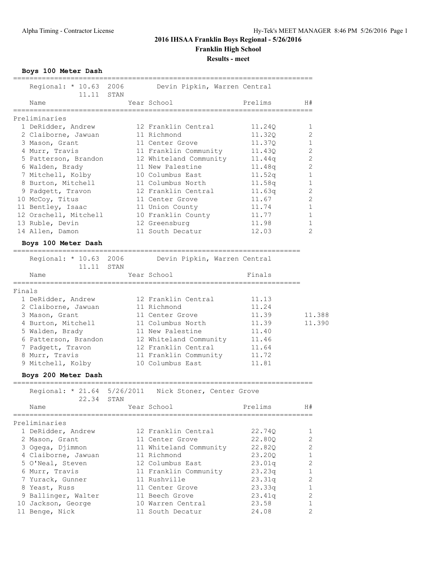**Boys 100 Meter Dash**

|        | Regional: * 10.63 2006 Devin Pipkin, Warren Central<br>11.11 STAN |               |                              |                    |                |
|--------|-------------------------------------------------------------------|---------------|------------------------------|--------------------|----------------|
|        | Name                                                              |               | Year School                  | Prelims            | H#             |
|        | Preliminaries                                                     |               |                              |                    |                |
|        | 1 DeRidder, Andrew                                                |               | 12 Franklin Central          | 11.240             | 1.             |
|        | 2 Claiborne, Jawuan                                               |               | 11 Richmond                  | 11,320             | 2              |
|        | 3 Mason, Grant                                                    |               | 11 Center Grove              | 11,370             | $\mathbf{1}$   |
|        | 4 Murr, Travis                                                    |               | 11 Franklin Community        | 11.430             | $\overline{c}$ |
|        | 5 Patterson, Brandon                                              |               | 12 Whiteland Community       | 11.44q             | $\overline{2}$ |
|        | 6 Walden, Brady                                                   |               | 11 New Palestine             | 11.48q             | $\overline{c}$ |
|        | 7 Mitchell, Kolby                                                 |               | 10 Columbus East             | 11.52 <sub>q</sub> | $\mathbf{1}$   |
|        | 8 Burton, Mitchell                                                |               | 11 Columbus North            | 11.58q             | $\mathbf{1}$   |
|        | 9 Padgett, Travon                                                 |               | 12 Franklin Central          | 11.63q             | $\overline{2}$ |
|        | 10 McCoy, Titus                                                   |               | 11 Center Grove              | 11.67              | $\overline{2}$ |
|        | 11 Bentley, Isaac                                                 |               | 11 Union County              | 11.74              | $\mathbf{1}$   |
|        | 12 Orschell, Mitchell                                             |               | 10 Franklin County           | 11.77              | $\mathbf{1}$   |
|        | 13 Ruble, Devin                                                   |               | 12 Greensburg                | 11.98              | $\mathbf{1}$   |
|        | 14 Allen, Damon                                                   |               | 11 South Decatur             | 12.03              | $\overline{2}$ |
|        | Boys 100 Meter Dash                                               | ============= |                              |                    |                |
|        | Regional: * 10.63 2006<br>11.11 STAN                              |               | Devin Pipkin, Warren Central |                    |                |
|        | Name                                                              |               | Year School                  | Finals             |                |
| Finals |                                                                   |               |                              |                    |                |
|        | 1 DeRidder, Andrew                                                |               | 12 Franklin Central          | 11.13              |                |
|        | 2 Claiborne Jawian 11 Richmond                                    |               |                              | $11 \t24$          |                |

| 2 Claiborne, Jawuan  | 11 Richmond            | 11.24           |
|----------------------|------------------------|-----------------|
| 3 Mason, Grant       | 11 Center Grove        | 11.388<br>11.39 |
| 4 Burton, Mitchell   | 11 Columbus North      | 11.390<br>11.39 |
| 5 Walden, Brady      | 11 New Palestine       | 11.40           |
| 6 Patterson, Brandon | 12 Whiteland Community | 11.46           |
| 7 Padgett, Travon    | 12 Franklin Central    | 11.64           |
| 8 Murr, Travis       | 11 Franklin Community  | 11.72           |
| 9 Mitchell, Kolby    | 10 Columbus East       | 11.81           |

### **Boys 200 Meter Dash**

| 22.34 STAN          | Regional: * 21.64 5/26/2011 Nick Stoner, Center Grove |         |                |
|---------------------|-------------------------------------------------------|---------|----------------|
| Name                | Year School                                           | Prelims | H#             |
| Preliminaries       |                                                       |         |                |
| 1 DeRidder, Andrew  | 12 Franklin Central                                   | 22.740  | 1              |
| 2 Mason, Grant      | 11 Center Grove                                       | 22.800  | $\overline{2}$ |
| 3 Ogega, Djimmon    | 11 Whiteland Community                                | 22.820  | $\overline{2}$ |
| 4 Claiborne, Jawuan | 11 Richmond                                           | 23.200  |                |
| 5 O'Neal, Steven    | 12 Columbus East                                      | 23.01q  | $\overline{2}$ |
| 6 Murr, Travis      | 11 Franklin Community                                 | 23.23q  | $\mathbf{1}$   |
| 7 Yurack, Gunner    | 11 Rushville                                          | 23.31q  | $\mathfrak{D}$ |
| 8 Yeast, Russ       | 11 Center Grove                                       | 23.33q  | $\mathbf{1}$   |
| 9 Ballinger, Walter | 11 Beech Grove                                        | 23.41q  | $\mathfrak{D}$ |
| 10 Jackson, George  | 10 Warren Central                                     | 23.58   | $\mathbf{1}$   |
| 11 Benge, Nick      | 11 South Decatur                                      | 24.08   | $\overline{2}$ |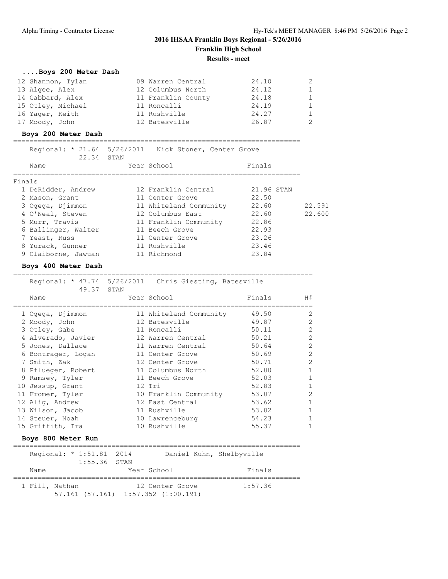## **....Boys 200 Meter Dash**

| 12 Shannon, Tylan | 09 Warren Central  | 24.10 | 2 |
|-------------------|--------------------|-------|---|
| 13 Algee, Alex    | 12 Columbus North  | 24.12 | 1 |
| 14 Gabbard, Alex  | 11 Franklin County | 24.18 | 1 |
| 15 Otley, Michael | 11 Roncalli        | 24.19 | 1 |
| 16 Yager, Keith   | 11 Rushville       | 24.27 | 1 |
| 17 Moody, John    | 12 Batesville      | 26.87 | 2 |

### **Boys 200 Meter Dash**

| 22.34 STAN          | Regional: * 21.64 5/26/2011 Nick Stoner, Center Grove |            |        |
|---------------------|-------------------------------------------------------|------------|--------|
| Name                | Year School                                           | Finals     |        |
| Finals              |                                                       |            |        |
| 1 DeRidder, Andrew  | 12 Franklin Central                                   | 21,96 STAN |        |
| 2 Mason, Grant      | 11 Center Grove                                       | 22.50      |        |
| 3 Ogega, Djimmon    | 11 Whiteland Community                                | 22.60      | 22.591 |
| 4 O'Neal, Steven    | 12 Columbus East                                      | 22.60      | 22,600 |
| 5 Murr, Travis      | 11 Franklin Community                                 | 22.86      |        |
| 6 Ballinger, Walter | 11 Beech Grove                                        | 22.93      |        |
| 7 Yeast, Russ       | 11 Center Grove                                       | 23.26      |        |
| 8 Yurack, Gunner    | 11 Rushville                                          | 23.46      |        |
| 9 Claiborne, Jawuan | 11 Richmond                                           | 23.84      |        |
|                     |                                                       |            |        |

#### **Boys 400 Meter Dash**

#### =========================================================================

| Regional: * 47.74 5/26/2011 Chris Giesting, Batesville<br>49.37 | STAN |                        |        |              |
|-----------------------------------------------------------------|------|------------------------|--------|--------------|
| Name                                                            |      | Year School            | Finals | H#           |
| 1 Ogega, Djimmon                                                |      | 11 Whiteland Community | 49.50  | 2            |
| 2 Moody, John                                                   |      | 12 Batesville          | 49.87  | 2            |
| 3 Otley, Gabe                                                   |      | 11 Roncalli            | 50.11  | 2            |
| 4 Alverado, Javier                                              |      | 12 Warren Central      | 50.21  | 2            |
| 5 Jones, Dallace                                                |      | 11 Warren Central      | 50.64  | 2            |
| 6 Bontrager, Logan                                              |      | 11 Center Grove        | 50.69  | 2            |
| 7 Smith, Zak                                                    |      | 12 Center Grove        | 50.71  | 2            |
| 8 Pflueger, Robert                                              |      | 11 Columbus North      | 52.00  | $\mathbf{1}$ |
| 9 Ramsey, Tyler                                                 |      | 11 Beech Grove         | 52.03  | $\mathbf{1}$ |
| 10 Jessup, Grant                                                |      | 12 Tri                 | 52.83  |              |
| 11 Fromer, Tyler                                                |      | 10 Franklin Community  | 53.07  | 2            |
| 12 Aliq, Andrew                                                 |      | 12 East Central        | 53.62  |              |
| 13 Wilson, Jacob                                                |      | 11 Rushville           | 53.82  |              |
| 14 Steuer, Noah                                                 |      | 10 Lawrenceburg        | 54.23  |              |
| 15 Griffith, Ira                                                |      | 10 Rushville           | 55.37  |              |

### **Boys 800 Meter Run**

|      | Regional: * 1:51.81 2014 |                |                                             | Daniel Kuhn, Shelbyville |         |
|------|--------------------------|----------------|---------------------------------------------|--------------------------|---------|
|      |                          | $1:55.36$ STAN |                                             |                          |         |
| Name |                          |                | Year School                                 |                          | Finals  |
|      | 1 Fill, Nathan           |                | $57.161$ $(57.161)$ $1:57.352$ $(1:00.191)$ | 12 Center Grove          | 1:57.36 |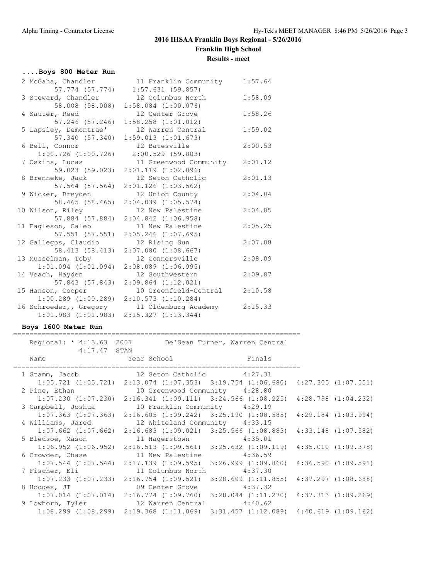## **....Boys 800 Meter Run**

| 2 McGaha, Chandler      | 11 Franklin Community 1:57.64                   |         |
|-------------------------|-------------------------------------------------|---------|
| 57.774 (57.774)         | 1:57.631(59.857)                                |         |
| 3 Steward, Chandler     | 12 Columbus North                               | 1:58.09 |
| 58.008 (58.008)         | $1:58.084$ $(1:00.076)$                         |         |
| 4 Sauter, Reed          | 12 Center Grove                                 | 1:58.26 |
|                         | 57.246 (57.246) 1:58.258 (1:01.012)             |         |
| 5 Lapsley, Demontrae'   | 12 Warren Central                               | 1:59.02 |
| 57.340 (57.340)         | 1:59.013(1:01.673)                              |         |
| 6 Bell, Connor          | 12 Batesville                                   | 2:00.53 |
| $1:00.726$ $(1:00.726)$ | 2:00.529 (59.803)                               |         |
| 7 Oskins, Lucas         | 11 Greenwood Community                          | 2:01.12 |
| 59.023 (59.023)         | $2:01.119$ $(1:02.096)$                         |         |
| 8 Brenneke, Jack        | 12 Seton Catholic                               | 2:01.13 |
|                         | 57.564 (57.564) 2:01.126 (1:03.562)             |         |
| 9 Wicker, Breyden       | 12 Union County                                 | 2:04.04 |
| 58.465 (58.465)         | $2:04.039$ $(1:05.574)$                         |         |
| 10 Wilson, Riley        | 12 New Palestine                                | 2:04.85 |
|                         | 57.884 (57.884) 2:04.842 (1:06.958)             |         |
| 11 Eagleson, Caleb      | 11 New Palestine                                | 2:05.25 |
| 57.551 (57.551)         | $2:05.246$ $(1:07.695)$                         |         |
| 12 Gallegos, Claudio    | 12 Rising Sun                                   | 2:07.08 |
|                         | 58.413 (58.413) 2:07.080 (1:08.667)             |         |
| 13 Musselman, Toby      | 12 Connersville                                 | 2:08.09 |
| $1:01.094$ $(1:01.094)$ | $2:08.089$ $(1:06.995)$                         |         |
| 14 Veach, Hayden        | 12 Southwestern                                 | 2:09.87 |
|                         | 57.843 (57.843) 2:09.864 (1:12.021)             |         |
| 15 Hanson, Cooper       | 10 Greenfield-Central                           | 2:10.58 |
|                         | $1:00.289$ $(1:00.289)$ $2:10.573$ $(1:10.284)$ |         |
| 16 Schroeder,, Gregory  | 11 Oldenburg Academy                            | 2:15.33 |
|                         | $1:01.983$ $(1:01.983)$ $2:15.327$ $(1:13.344)$ |         |

#### **Boys 1600 Meter Run** ======================================================================

| $4:17.47$ STAN | Regional: * 4:13.63 2007 De'Sean Turner, Warren Central                                         |  |
|----------------|-------------------------------------------------------------------------------------------------|--|
|                | Name Year School Finals                                                                         |  |
|                | 1 Stamm, Jacob 12 Seton Catholic 4:27.31                                                        |  |
|                | $1:05.721$ $(1:05.721)$ $2:13.074$ $(1:07.353)$ $3:19.754$ $(1:06.680)$ $4:27.305$ $(1:07.551)$ |  |
|                | 2 Pine, Ethan 10 Greenwood Community 4:28.80                                                    |  |
|                | $1:07.230$ $(1:07.230)$ $2:16.341$ $(1:09.111)$ $3:24.566$ $(1:08.225)$ $4:28.798$ $(1:04.232)$ |  |
|                | 3 Campbell, Joshua 10 Franklin Community 4:29.19                                                |  |
|                | $1:07.363$ (1:07.363) 2:16.605 (1:09.242) 3:25.190 (1:08.585) 4:29.184 (1:03.994)               |  |
|                | 4 Williams, Jared 12 Whiteland Community 4:33.15                                                |  |
|                | 1:07.662 (1:07.662) 2:16.683 (1:09.021) 3:25.566 (1:08.883) 4:33.148 (1:07.582)                 |  |
|                | 5 Bledsoe, Mason 11 Hagerstown 4:35.01                                                          |  |
|                | $1:06.952$ (1:06.952) 2:16.513 (1:09.561) 3:25.632 (1:09.119) 4:35.010 (1:09.378)               |  |
|                | 6 Crowder, Chase 11 New Palestine 4:36.59                                                       |  |
|                | $1:07.544$ $(1:07.544)$ $2:17.139$ $(1:09.595)$ $3:26.999$ $(1:09.860)$ $4:36.590$ $(1:09.591)$ |  |
|                | 7 Fischer, Eli               11 Columbus North           4:37.30                                |  |
|                | $1:07.233$ $(1:07.233)$ $2:16.754$ $(1:09.521)$ $3:28.609$ $(1:11.855)$ $4:37.297$ $(1:08.688)$ |  |
|                | 8 Hodges, JT 09 Center Grove 4:37.32                                                            |  |
|                | $1:07.014$ $(1:07.014)$ $2:16.774$ $(1:09.760)$ $3:28.044$ $(1:11.270)$ $4:37.313$ $(1:09.269)$ |  |
|                | 9 Lowhorn, Tyler 12 Warren Central 4:40.62                                                      |  |
|                | $1:08.299$ $(1:08.299)$ $2:19.368$ $(1:11.069)$ $3:31.457$ $(1:12.089)$ $4:40.619$ $(1:09.162)$ |  |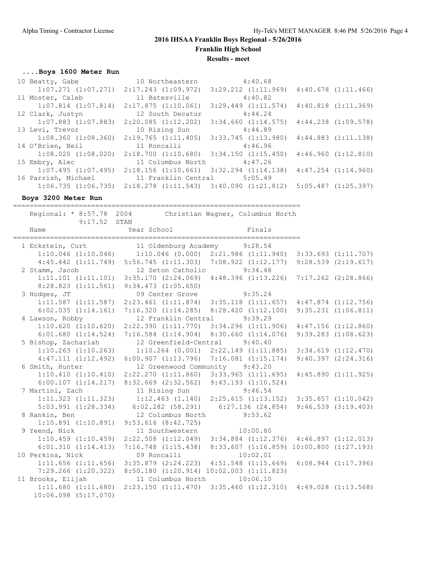# **2016 IHSAA Franklin Boys Regional - 5/26/2016**

**Franklin High School**

**Results - meet**

## **....Boys 1600 Meter Run**

| 10 Beatty, Gabe                                 | 10 Northeastern                                                                                 | 4:40.68                 |                         |                         |
|-------------------------------------------------|-------------------------------------------------------------------------------------------------|-------------------------|-------------------------|-------------------------|
| $1:07.271$ $(1:07.271)$ $2:17.243$ $(1:09.972)$ |                                                                                                 | $3:29.212$ $(1:11.969)$ |                         | $4:40.678$ $(1:11.466)$ |
| 11 Moster, Caleb                                | 11 Batesville                                                                                   | 4:40.82                 |                         |                         |
| $1:07.814$ $(1:07.814)$                         | 2:17.875(1:10.061)                                                                              | $3:29.449$ $(1:11.574)$ | $4:40.818$ $(1:11.369)$ |                         |
| 12 Clark, Justyn                                | 12 South Decatur                                                                                | 4:44.24                 |                         |                         |
| $1:07.883$ $(1:07.883)$                         | 2:20.085(1:12.202)                                                                              | 3:34.660(1:14.575)      | $4:44.238$ $(1:09.578)$ |                         |
| 13 Levi, Trevor                                 | 10 Rising Sun                                                                                   | 4:44.89                 |                         |                         |
| $1:08.360$ $(1:08.360)$                         | 2:19.765(1:11.405)                                                                              | $3:33.745$ $(1:13.980)$ | 4:44.883(1:11.138)      |                         |
| 14 O'Brien, Neil 11 Roncalli                    |                                                                                                 | 4:46.96                 |                         |                         |
| $1:08.020$ $(1:08.020)$                         | $2:18.700$ $(1:10.680)$ $3:34.150$ $(1:15.450)$                                                 |                         | 4:46.960(1:12.810)      |                         |
| 15 Embry, Alec                                  | 11 Columbus North 4:47.26                                                                       |                         |                         |                         |
| $1:07.495$ $(1:07.495)$                         | $2:18.156$ $(1:10.661)$                                                                         | $3:32.294$ $(1:14.138)$ | $4:47.254$ $(1:14.960)$ |                         |
| 16 Parrish, Michael                             | 11 Franklin Central 5:05.49                                                                     |                         |                         |                         |
|                                                 | $1:06.735$ $(1:06.735)$ $2:18.278$ $(1:11.543)$ $3:40.090$ $(1:21.812)$ $5:05.487$ $(1:25.397)$ |                         |                         |                         |

**Boys 3200 Meter Run**

======================================================================

|                          | Regional: * 8:57.78 2004 Christian Wagner, Columbus North                                                    |                                                                         |  |
|--------------------------|--------------------------------------------------------------------------------------------------------------|-------------------------------------------------------------------------|--|
| $9:17.52$ STAN<br>Name   | Year School                                                                                                  | Finals                                                                  |  |
|                          | 1 Eckstein, Curt 11 Oldenburg Academy 9:28.54                                                                |                                                                         |  |
|                          | $1:10.046$ (1:10.046) 1:10.046 (0.000) 2:21.986 (1:11.940) 3:33.693 (1:11.707)                               |                                                                         |  |
|                          | 4:45.442 (1:11.749) 5:56.745 (1:11.303) 7:08.922 (1:12.177) 9:28.539 (2:19.617)                              |                                                                         |  |
| 2 Stamm, Jacob           | 12 Seton Catholic 9:34.48                                                                                    |                                                                         |  |
|                          | 1:11.101 (1:11.101) 3:35.170 (2:24.069) 4:48.396 (1:13.226) 7:17.262 (2:28.866)                              |                                                                         |  |
|                          | $8:28.823$ $(1:11.561)$ $9:34.473$ $(1:05.650)$                                                              |                                                                         |  |
| 3 Hodges, JT             | 09 Center Grove 9:35.24                                                                                      |                                                                         |  |
|                          | $1:11.587$ $(1:11.587)$ $2:23.461$ $(1:11.874)$ $3:35.118$ $(1:11.657)$ $4:47.874$ $(1:12.756)$              |                                                                         |  |
|                          | $6:02.035$ $(1:14.161)$ $7:16.320$ $(1:14.285)$ $8:28.420$ $(1:12.100)$ $9:35.231$ $(1:06.811)$              |                                                                         |  |
| 4 Lawson, Robby          | 12 Franklin Central                                                                                          | 9:39.29                                                                 |  |
|                          | 1:10.620 (1:10.620) 2:22.390 (1:11.770) 3:34.296 (1:11.906) 4:47.156 (1:12.860)                              |                                                                         |  |
| 6:01.680(1:14.524)       |                                                                                                              | 7:16.584 (1:14.904) 8:30.660 (1:14.076) 9:39.283 (1:08.623)             |  |
| 5 Bishop, Zachariah      | 12 Greenfield-Central 9:40.40                                                                                |                                                                         |  |
| $1:10.263$ $(1:10.263)$  |                                                                                                              | $1:10.264$ (0.001) $2:22.149$ (1:11.885) $3:34.619$ (1:12.470)          |  |
| 4:47.111(1:12.492)       |                                                                                                              | $6:00.907$ (1:13.796) 7:16.081 (1:15.174) 9:40.397 (2:24.316)           |  |
| 6 Smith, Hunter          | 12 Greenwood Community 9:43.20                                                                               |                                                                         |  |
| 1:10.410(1:10.410)       |                                                                                                              | $2:22.270$ (1:11.860) 3:33.965 (1:11.695) 4:45.890 (1:11.925)           |  |
|                          | 6:00.107 (1:14.217) 8:32.669 (2:32.562) 9:43.193 (1:10.524)                                                  |                                                                         |  |
| 7 Martini, Zach          | 11 Rising Sun 9:46.54                                                                                        |                                                                         |  |
| $1:11.323$ $(1:11.323)$  |                                                                                                              | $1:12.463$ $(1.140)$ $2:25.615$ $(1:13.152)$ $3:35.657$ $(1:10.042)$    |  |
| $5:03.991$ $(1:28.334)$  | $6:02.282$ (58.291) $6:27.136$ (24.854) 9:46.539 (3:19.403)                                                  |                                                                         |  |
| 8 Rankin, Ben            | 12 Columbus North 9:53.62                                                                                    |                                                                         |  |
| $1:10.891$ $(1:10.891)$  | $9:53.616$ $(8:42.725)$                                                                                      |                                                                         |  |
| 9 Yeend, Nick            | 11 Southwestern 10:00.80                                                                                     |                                                                         |  |
| $1:10.459$ $(1:10.459)$  |                                                                                                              | $2:22.508$ $(1:12.049)$ $3:34.884$ $(1:12.376)$ $4:46.897$ $(1:12.013)$ |  |
| 6:01.310(1:14.413)       |                                                                                                              | 7:16.748 (1:15.438) 8:33.607 (1:16.859) 10:00.800 (1:27.193)            |  |
| 10 Perkins, Nick         | 09 Roncalli                                                                                                  | 10:02.01                                                                |  |
| $1:11.656$ $(1:11.656)$  |                                                                                                              | $3:35.879$ $(2:24.223)$ $4:51.548$ $(1:15.669)$ $6:08.944$ $(1:17.396)$ |  |
|                          | 7:29.266 (1:20.322) 8:50.180 (1:20.914) 10:02.003 (1:11.823)<br>11 Brooks, Elijah 11 Columbus North 10:06.10 |                                                                         |  |
|                          |                                                                                                              |                                                                         |  |
| 1:11.680(1:11.680)       |                                                                                                              | 2:23.150 (1:11.470) 3:35.460 (1:12.310) 4:49.028 (1:13.568)             |  |
| $10:06.098$ $(5:17.070)$ |                                                                                                              |                                                                         |  |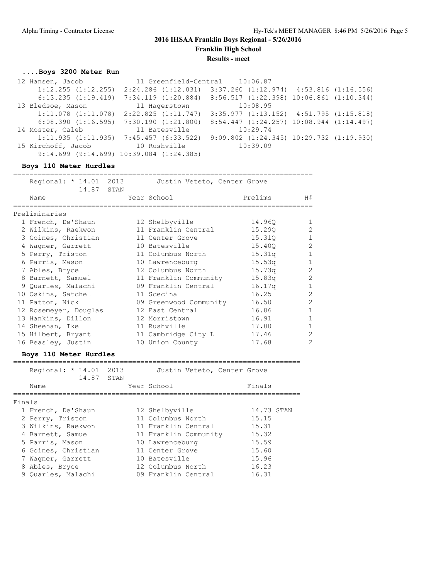## **2016 IHSAA Franklin Boys Regional - 5/26/2016 Franklin High School**

**Results - meet**

## **....Boys 3200 Meter Run**

| 12 Hansen, Jacob                | 11 Greenfield-Central 10:06.87                   |                                                  |  |
|---------------------------------|--------------------------------------------------|--------------------------------------------------|--|
| $1:12.255$ $(1:12.255)$         | $2:24.286$ $(1:12.031)$                          | $3:37.260$ $(1:12.974)$ $4:53.816$ $(1:16.556)$  |  |
| $6:13.235$ $(1:19.419)$         | $7:34.119$ $(1:20.884)$                          | $8:56.517$ $(1:22.398)$ $10:06.861$ $(1:10.344)$ |  |
| 13 Bledsoe, Mason               | 11 Hagerstown                                    | 10:08.95                                         |  |
| $1:11.078$ $(1:11.078)$         | 2:22.825(1:11.747)                               | $3:35.977$ $(1:13.152)$ $4:51.795$ $(1:15.818)$  |  |
| 6:08.390(1:16.595)              | 7:30.190(1:21.800)                               | $8:54.447$ $(1:24.257)$ $10:08.944$ $(1:14.497)$ |  |
| 14 Moster, Caleb                | 11 Batesville                                    | 10:29.74                                         |  |
|                                 | $1:11.935$ $(1:11.935)$ $7:45.457$ $(6:33.522)$  | $9:09.802$ $(1:24.345)$ $10:29.732$ $(1:19.930)$ |  |
| 15 Kirchoff, Jacob 10 Rushville |                                                  | 10:39.09                                         |  |
|                                 | $9:14.699$ $(9:14.699)$ $10:39.084$ $(1:24.385)$ |                                                  |  |

### **Boys 110 Meter Hurdles**

| Regional: * 14.01 2013<br>14.87 STAN | Justin Veteto, Center Grove |         |                |
|--------------------------------------|-----------------------------|---------|----------------|
| Name                                 | Year School                 | Prelims | H#             |
|                                      |                             |         |                |
| Preliminaries                        |                             |         |                |
| 1 French, De'Shaun                   | 12 Shelbyville              | 14.960  | -1             |
| 2 Wilkins, Raekwon                   | 11 Franklin Central         | 15.290  | $\mathcal{L}$  |
| 3 Goines, Christian                  | 11 Center Grove             | 15.310  | 1              |
| 4 Wagner, Garrett                    | 10 Batesville               | 15.400  | $\overline{2}$ |
| 5 Perry, Triston                     | 11 Columbus North           | 15.31q  |                |
| 6 Parris, Mason                      | 10 Lawrenceburg             | 15.53q  |                |
| 7 Ables, Bryce                       | 12 Columbus North           | 15.73q  | $\overline{2}$ |
| 8 Barnett, Samuel                    | 11 Franklin Community       | 15.83q  | $\overline{2}$ |
| 9 Quarles, Malachi                   | 09 Franklin Central         | 16.17q  | 1              |
| 10 Oskins, Satchel                   | 11 Scecina                  | 16.25   | $\overline{2}$ |
| 11 Patton, Nick                      | 09 Greenwood Community      | 16.50   | $\overline{2}$ |
| 12 Rosemeyer, Douglas                | 12 East Central             | 16.86   |                |
| 13 Hankins, Dillon                   | 12 Morristown               | 16.91   | 1              |
| 14 Sheehan, Ike                      | 11 Rushville                | 17.00   | $\mathbf{1}$   |
| 15 Hilbert, Bryant                   | 11 Cambridge City L         | 17.46   | $\overline{2}$ |
| 16 Beasley, Justin                   | 10 Union County             | 17.68   | $\mathfrak{D}$ |
| Boys 110 Meter Hurdles               |                             |         |                |

|        | Regional: * 14.01 2013<br>14.87 | STAN | Justin Veteto, Center Grove |            |
|--------|---------------------------------|------|-----------------------------|------------|
|        | Name                            |      | Year School                 | Finals     |
| Finals |                                 |      |                             |            |
|        | 1 French, De'Shaun              |      | 12 Shelbyville              | 14.73 STAN |
|        | 2 Perry, Triston                |      | 11 Columbus North           | 15.15      |
|        | 3 Wilkins, Raekwon              |      | 11 Franklin Central         | 15.31      |
|        | 4 Barnett, Samuel               |      | 11 Franklin Community       | 15.32      |
|        | 5 Parris, Mason                 |      | 10 Lawrenceburg             | 15.59      |
|        | 6 Goines, Christian             |      | 11 Center Grove             | 15.60      |
|        | 7 Waqner, Garrett               |      | 10 Batesville               | 15.96      |
|        | 8 Ables, Bryce                  |      | 12 Columbus North           | 16.23      |
|        | 9 Ouarles, Malachi              |      | 09 Franklin Central         | 16.31      |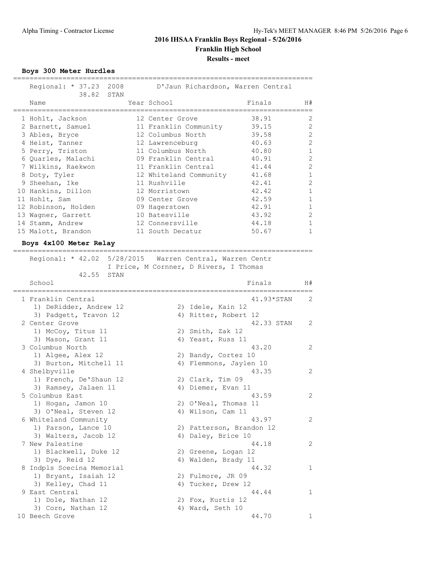**Boys 300 Meter Hurdles**

| Regional: * 37.23 2008<br>38.82 STAN |  | D'Jaun Richardson, Warren Central |        |                |
|--------------------------------------|--|-----------------------------------|--------|----------------|
| Name                                 |  | Year School                       | Finals | H#             |
| 1 Hohlt, Jackson                     |  | 12 Center Grove                   | 38.91  | 2              |
| 2 Barnett, Samuel                    |  | 11 Franklin Community             | 39.15  | 2              |
| 3 Ables, Bryce                       |  | 12 Columbus North                 | 39.58  | 2              |
| 4 Heist, Tanner                      |  | 12 Lawrenceburg                   | 40.63  | 2              |
| 5 Perry, Triston                     |  | 11 Columbus North                 | 40.80  | $\mathbf{1}$   |
| 6 Quarles, Malachi                   |  | 09 Franklin Central               | 40.91  | 2              |
| 7 Wilkins, Raekwon                   |  | 11 Franklin Central               | 41.44  | 2              |
| 8 Doty, Tyler                        |  | 12 Whiteland Community            | 41.68  | $\mathbf{1}$   |
| 9 Sheehan, Ike                       |  | 11 Rushville                      | 42.41  | $\overline{2}$ |
| 10 Hankins, Dillon                   |  | 12 Morristown                     | 42.42  | $\mathbf{1}$   |
| 11 Hohlt, Sam                        |  | 09 Center Grove                   | 42.59  | $\mathbf{1}$   |
| 12 Robinson, Holden                  |  | 09 Hagerstown                     | 42.91  | $\mathbf{1}$   |
| 13 Wagner, Garrett                   |  | 10 Batesville                     | 43.92  | $\overline{2}$ |
| 14 Stamm, Andrew                     |  | 12 Connersville                   | 44.18  | $\mathbf{1}$   |
| 15 Malott, Brandon                   |  | 11 South Decatur                  | 50.67  | $\mathbf{1}$   |

=========================================================================

## **Boys 4x100 Meter Relay**

=========================================================================

 Regional: \* 42.02 5/28/2015 Warren Central, Warren Centr I Price, M Cornner, D Rivers, I Thomas

| 42.55<br>STAN             |                          |                |
|---------------------------|--------------------------|----------------|
| School                    | Finals                   | H#             |
| 1 Franklin Central        | 41.93*STAN               | $\mathfrak{D}$ |
| 1) DeRidder, Andrew 12    | 2) Idele, Kain 12        |                |
| 3) Padgett, Travon 12     | 4) Ritter, Robert 12     |                |
| 2 Center Grove            | 42.33 STAN               | 2              |
| 1) McCoy, Titus 11        | 2) Smith, Zak 12         |                |
| 3) Mason, Grant 11        | 4) Yeast, Russ 11        |                |
| 3 Columbus North          | 43.20                    | 2              |
| 1) Algee, Alex 12         | 2) Bandy, Cortez 10      |                |
| 3) Burton, Mitchell 11    | 4) Flemmons, Jaylen 10   |                |
| 4 Shelbyville             | 43.35                    | 2              |
| 1) French, De'Shaun 12    | 2) Clark, Tim 09         |                |
| 3) Ramsey, Jalaen 11      | 4) Diemer, Evan 11       |                |
| 5 Columbus East           | 43.59                    | $\overline{2}$ |
| 1) Hogan, Jamon 10        | 2) O'Neal, Thomas 11     |                |
| 3) O'Neal, Steven 12      | 4) Wilson, Cam 11        |                |
| 6 Whiteland Community     | 43.97                    | $\overline{2}$ |
| 1) Parson, Lance 10       | 2) Patterson, Brandon 12 |                |
| 3) Walters, Jacob 12      | 4) Daley, Brice 10       |                |
| 7 New Palestine           | 44.18                    | 2              |
| 1) Blackwell, Duke 12     | 2) Greene, Logan 12      |                |
| 3) Dye, Reid 12           | 4) Walden, Brady 11      |                |
| 8 Indpls Scecina Memorial | 44.32                    | $\mathbf{1}$   |
| 1) Bryant, Isaiah 12      | 2) Fulmore, JR 09        |                |
| 3) Kelley, Chad 11        | 4) Tucker, Drew 12       |                |
| 9 East Central            | 44.44                    | $\mathbf{1}$   |
| 1) Dole, Nathan 12        | 2) Fox, Kurtis 12        |                |
| 3) Corn, Nathan 12        | 4) Ward, Seth 10         |                |
| 10 Beech Grove            | 44.70                    | $\mathbf 1$    |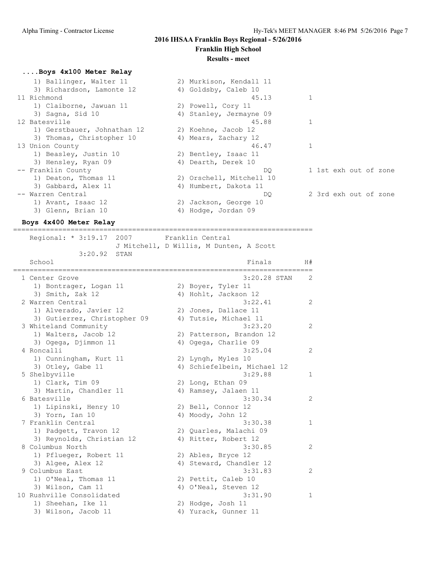### **2016 IHSAA Franklin Boys Regional - 5/26/2016 Franklin High School**

## **Results - meet**

#### **....Boys 4x100 Meter Relay**

| 1) Ballinger, Walter 11     | 2) Murkison, Kendall 11  |                       |
|-----------------------------|--------------------------|-----------------------|
| 3) Richardson, Lamonte 12   | 4) Goldsby, Caleb 10     |                       |
| 11 Richmond                 | 45.13                    |                       |
| 1) Claiborne, Jawuan 11     | 2) Powell, Cory 11       |                       |
| 3) Sagna, Sid 10            | 4) Stanley, Jermayne 09  |                       |
| 12 Batesville               | 45.88                    |                       |
| 1) Gerstbauer, Johnathan 12 | 2) Koehne, Jacob 12      |                       |
| 3) Thomas, Christopher 10   | 4) Mears, Zachary 12     |                       |
| 13 Union County             | 46.47                    |                       |
| 1) Beasley, Justin 10       | 2) Bentley, Isaac 11     |                       |
| 3) Hensley, Ryan 09         | 4) Dearth, Derek 10      |                       |
| -- Franklin County          | DO.                      | 1 1st exh out of zone |
| 1) Deaton, Thomas 11        | 2) Orschell, Mitchell 10 |                       |
| 3) Gabbard, Alex 11         | 4) Humbert, Dakota 11    |                       |
| -- Warren Central           | DO.                      | 2 3rd exh out of zone |
| 1) Avant, Isaac 12          | 2) Jackson, George 10    |                       |
| 3) Glenn, Brian 10          | 4) Hodge, Jordan 09      |                       |

#### **Boys 4x400 Meter Relay** =========================================================================

Regional: \* 3:19.17 2007 Franklin Central J Mitchell, D Willis, M Dunten, A Scott 3:20.92 STAN School Finals H# ========================================================================= 1 Center Grove 3:20.28 STAN 2 1) Bontrager, Logan 11 2) Boyer, Tyler 11 3) Smith, Zak 12 4) Hohlt, Jackson 12 2 Warren Central 3:22.41 2 1) Alverado, Javier 12 2) Jones, Dallace 11 3) Gutierrez, Christopher 09 4) Tutsie, Michael 11 3 Whiteland Community 3:23.20 2 1) Walters, Jacob 12 2) Patterson, Brandon 12 3) Ogega, Djimmon 11 4) Ogega, Charlie 09 4 Roncalli 3:25.04 2 1) Cunningham, Kurt 11 2) Lyngh, Myles 10 3) Otley, Gabe 11 4) Schiefelbein, Michael 12 5 Shelbyville 3:29.88 1 1) Clark, Tim 09 2) Long, Ethan 09 3) Martin, Chandler 11 (4) Ramsey, Jalaen 11 6 Batesville 3:30.34 2 1) Lipinski, Henry 10 2) Bell, Connor 12 3) Yorn, Ian 10 4) Moody, John 12 7 Franklin Central 3:30.38 1 1) Padgett, Travon 12 2) Quarles, Malachi 09 3) Reynolds, Christian 12 (4) Ritter, Robert 12 8 Columbus North 3:30.85 2 1) Pflueger, Robert 11 2) Ables, Bryce 12 3) Algee, Alex 12 4) Steward, Chandler 12 9 Columbus East 2 2 1) O'Neal, Thomas 11 2) Pettit, Caleb 10 3) Wilson, Cam 11 4) O'Neal, Steven 12 10 Rushville Consolidated 3:31.90 1 1) Sheehan, Ike 11 2) Hodge, Josh 11 3) Wilson, Jacob 11 (4) Yurack, Gunner 11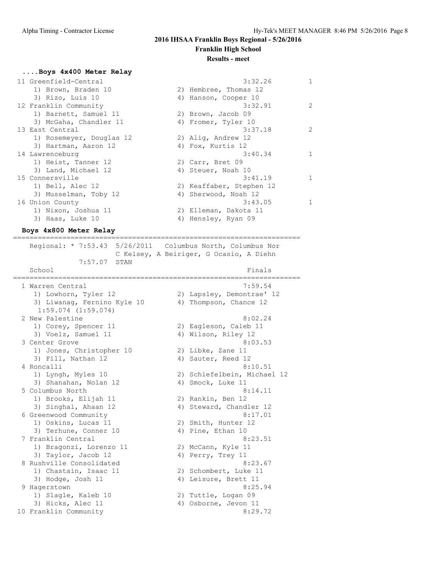#### **....Boys 4x400 Meter Relay**

| 11 Greenfield-Central    | 3:32.26                  | $\mathbf{1}$  |
|--------------------------|--------------------------|---------------|
| 1) Brown, Braden 10      | 2) Hembree, Thomas 12    |               |
| 3) Rizo, Luis 10         | 4) Hanson, Cooper 10     |               |
| 12 Franklin Community    | 3:32.91                  | $\mathcal{L}$ |
| 1) Barnett, Samuel 11    | 2) Brown, Jacob 09       |               |
| 3) McGaha, Chandler 11   | 4) Fromer, Tyler 10      |               |
| 13 East Central          | 3:37.18                  | $\mathcal{L}$ |
| 1) Rosemeyer, Douglas 12 | 2) Aliq, Andrew 12       |               |
| 3) Hartman, Aaron 12     | 4) Fox, Kurtis 12        |               |
| 14 Lawrenceburg          | 3:40.34                  |               |
| 1) Heist, Tanner 12      | 2) Carr, Bret 09         |               |
| 3) Land, Michael 12      | 4) Steuer, Noah 10       |               |
| 15 Connersville          | 3:41.19                  |               |
| 1) Bell, Alec 12         | 2) Keaffaber, Stephen 12 |               |
| 3) Musselman, Toby 12    | 4) Sherwood, Noah 12     |               |
| 16 Union County          | 3:43.05                  | $\mathbf{1}$  |
| 1) Nixon, Joshua 11      | 2) Elleman, Dakota 11    |               |
| 3) Haas, Luke 10         | 4) Hensley, Ryan 09      |               |
|                          |                          |               |

#### **Boys 4x800 Meter Relay** ======================================================================

 Regional: \* 7:53.43 5/26/2011 Columbus North, Columbus Nor C Kelsey, A Beiriger, G Ocasio, A Diehn 7:57.07 STAN School Finals ====================================================================== 1 Warren Central 7:59.54 1) Lowhorn, Tyler 12 2) Lapsley, Demontrae' 12 3) Liwanag, Fernino Kyle 10 4) Thompson, Chance 12 1:59.074 (1:59.074) 2 New Palestine 8:02.24 1) Corey, Spencer 11 2) Eagleson, Caleb 11 3) Voelz, Samuel 11 4) Wilson, Riley 12 3 Center Grove 8:03.53 1) Jones, Christopher 10 2) Libke, Zane 11 3) Fill, Nathan 12 4) Sauter, Reed 12 4 Roncalli 8:10.51 1) Lyngh, Myles 10 2) Schiefelbein, Michael 12 3) Shanahan, Nolan 12 (4) Smock, Luke 11 5 Columbus North 8:14.11 1) Brooks, Elijah 11 2) Rankin, Ben 12 3) Singhal, Ahaan 12 4) Steward, Chandler 12 6 Greenwood Community 8:17.01 1) Oskins, Lucas 11 2) Smith, Hunter 12 3) Terhune, Conner 10 (4) Pine, Ethan 10 7 Franklin Central 8:23.51 1) Bragonzi, Lorenzo 11 and 2) McCann, Kyle 11 3) Taylor, Jacob 12 (4) Perry, Trey 11 8 Rushville Consolidated 8:23.67 1) Chastain, Isaac 11 2) Schombert, Luke 11 3) Hodge, Josh 11 4) Leisure, Brett 11 9 Hagerstown 8:25.94 1) Slagle, Kaleb 10 2) Tuttle, Logan 09 3) Hicks, Alec 11 4) Osborne, Jevon 11 10 Franklin Community 8:29.72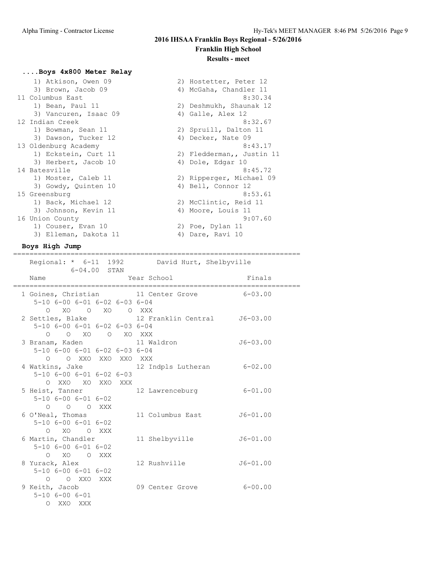#### **....Boys 4x800 Meter Relay**

| 1) Atkison, Owen 09   | 2) Hostetter, Peter 12    |
|-----------------------|---------------------------|
| 3) Brown, Jacob 09    | 4) McGaha, Chandler 11    |
| 11 Columbus East      | 8:30.34                   |
| 1) Bean, Paul 11      | 2) Deshmukh, Shaunak 12   |
| 3) Vancuren, Isaac 09 | 4) Galle, Alex 12         |
| 12 Indian Creek       | 8:32.67                   |
| 1) Bowman, Sean 11    | 2) Spruill, Dalton 11     |
| 3) Dawson, Tucker 12  | 4) Decker, Nate 09        |
| 13 Oldenburg Academy  | 8:43.17                   |
| 1) Eckstein, Curt 11  | 2) Fledderman,, Justin 11 |
| 3) Herbert, Jacob 10  | 4) Dole, Edgar 10         |
| 14 Batesville         | 8:45.72                   |
| 1) Moster, Caleb 11   | 2) Ripperger, Michael 09  |
| 3) Gowdy, Quinten 10  | 4) Bell, Connor 12        |
| 15 Greensburg         | 8:53.61                   |
| 1) Back, Michael 12   | 2) McClintic, Reid 11     |
| 3) Johnson, Kevin 11  | 4) Moore, Louis 11        |
| 16 Union County       | 9:07.60                   |
| 1) Couser, Evan 10    | 2) Poe, Dylan 11          |
| 3) Elleman, Dakota 11 | 4) Dare, Ravi 10          |
|                       |                           |

### **Boys High Jump**

====================================================================== Regional: \* 6-11 1992 David Hurt, Shelbyville 6-04.00 STAN Name Year School Finals ====================================================================== 1 Goines, Christian 11 Center Grove 6-03.00 5-10 6-00 6-01 6-02 6-03 6-04 O XO O XO O XXX 2 Settles, Blake 12 Franklin Central J6-03.00 5-10 6-00 6-01 6-02 6-03 6-04 O O XO O XO XXX 3 Branam, Kaden 11 Waldron J6-03.00 5-10 6-00 6-01 6-02 6-03 6-04 O O XXO XXO XXO XXX<br>4 Watkins, Jake 12 I 12 Indpls Lutheran 6-02.00 5-10 6-00 6-01 6-02 6-03 O XXO XO XXO XXX 5 Heist, Tanner 12 Lawrenceburg 6-01.00 5-10 6-00 6-01 6-02 O O O XXX 6 O'Neal, Thomas 11 Columbus East J6-01.00 5-10 6-00 6-01 6-02 O XO O XXX 6 Martin, Chandler 11 Shelbyville J6-01.00 5-10 6-00 6-01 6-02 O XO O XXX<br>8 Yurack, Alex 12 Rushville  $J6-01.00$  5-10 6-00 6-01 6-02 O O XXO XXX 9 Keith, Jacob 09 Center Grove 6-00.00 5-10 6-00 6-01 O XXO XXX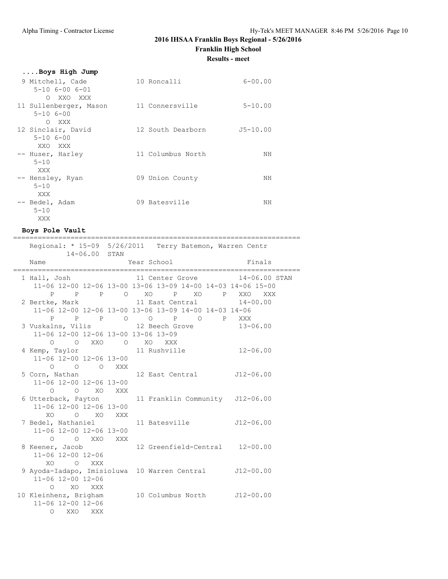# **2016 IHSAA Franklin Boys Regional - 5/26/2016**

**Franklin High School**

**Results - meet**

| 10 Roncalli     | $6 - 00.00$                                                                |
|-----------------|----------------------------------------------------------------------------|
|                 |                                                                            |
|                 |                                                                            |
| 11 Connersville | $5 - 10.00$                                                                |
|                 |                                                                            |
|                 |                                                                            |
|                 | $J5 - 10.00$                                                               |
|                 |                                                                            |
|                 |                                                                            |
|                 | NH                                                                         |
|                 |                                                                            |
|                 |                                                                            |
|                 | NH                                                                         |
|                 |                                                                            |
|                 | NH                                                                         |
|                 |                                                                            |
|                 |                                                                            |
|                 | 12 South Dearborn<br>11 Columbus North<br>09 Union County<br>09 Batesville |

### **Boys Pole Vault**

|                                                                          | =========== |                                                             |                               |
|--------------------------------------------------------------------------|-------------|-------------------------------------------------------------|-------------------------------|
| Regional: * 15-09 5/26/2011 Terry Batemon, Warren Centr<br>14-06.00 STAN |             |                                                             |                               |
| Name                                                                     |             | Year School Finals                                          |                               |
| 1 Hall, Josh                                                             |             |                                                             | 11 Center Grove 14-06.00 STAN |
|                                                                          |             | 11-06 12-00 12-06 13-00 13-06 13-09 14-00 14-03 14-06 15-00 |                               |
|                                                                          |             | P P P O XO P XO P XXO XXX                                   |                               |
| 2 Bertke, Mark 11 East Central 14-00.00                                  |             | 11-06 12-00 12-06 13-00 13-06 13-09 14-00 14-03 14-06       |                               |
|                                                                          |             | P P P O O P O P XXX                                         |                               |
| 3 Vuskalns, Vilis 12 Beech Grove 13-06.00                                |             |                                                             |                               |
| 11-06 12-00 12-06 13-00 13-06 13-09                                      |             |                                                             |                               |
| O OXXO OXOXXX                                                            |             |                                                             |                               |
| 4 Kemp, Taylor 11 Rushville 12-06.00                                     |             |                                                             |                               |
| 11-06 12-00 12-06 13-00                                                  |             |                                                             |                               |
| 0 0 0 XXX                                                                |             |                                                             |                               |
| 5 Corn, Nathan 12 East Central J12-06.00                                 |             |                                                             |                               |
| 11-06 12-00 12-06 13-00                                                  |             |                                                             |                               |
| O O XO XXX<br>6 Utterback, Payton 11 Franklin Community J12-06.00        |             |                                                             |                               |
| 11-06 12-00 12-06 13-00                                                  |             |                                                             |                               |
| XO O XO XXX                                                              |             |                                                             |                               |
| 7 Bedel, Nathaniel 11 Batesville 512-06.00                               |             |                                                             |                               |
| 11-06 12-00 12-06 13-00                                                  |             |                                                             |                               |
| O O XXO XXX                                                              |             |                                                             |                               |
| 8 Keener, Jacob                                                          |             | 12 Greenfield-Central 12-00.00                              |                               |
| 11-06 12-00 12-06                                                        |             |                                                             |                               |
| XO.<br>O XXX                                                             |             |                                                             |                               |
| 9 Ayoda-Iadapo, Imisioluwa 10 Warren Central J12-00.00                   |             |                                                             |                               |
| 11-06 12-00 12-06<br>O XO XXX                                            |             |                                                             |                               |
| 10 Kleinhenz, Brigham 10 Columbus North J12-00.00                        |             |                                                             |                               |
| 11-06 12-00 12-06                                                        |             |                                                             |                               |
| $\circ$<br>XXO<br>XXX                                                    |             |                                                             |                               |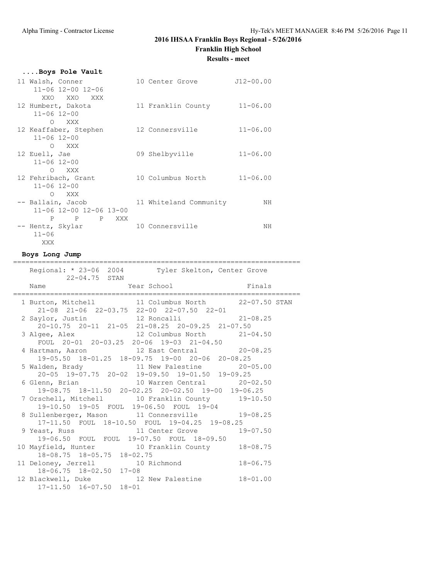## **2016 IHSAA Franklin Boys Regional - 5/26/2016**

**Franklin High School**

**Results - meet**

|  |  |  | Boys Pole Vault |
|--|--|--|-----------------|
|  |  |  |                 |

| 11 Walsh, Conner<br>11-06 12-00 12-06      | 10 Center Grove        | $J12 - 00.00$ |
|--------------------------------------------|------------------------|---------------|
| XXO XXO XXX                                |                        |               |
| 12 Humbert, Dakota                         | 11 Franklin County     | $11 - 06.00$  |
| $11 - 06$ $12 - 00$<br>O XXX               |                        |               |
| 12 Keaffaber, Stephen                      | 12 Connersville        | $11 - 06.00$  |
| $11 - 06$ $12 - 00$                        |                        |               |
| O XXX<br>12 Euell, Jae                     | 09 Shelbyville         | $11 - 06.00$  |
| $11 - 06$ $12 - 00$                        |                        |               |
| O XXX                                      |                        |               |
| 12 Fehribach, Grant<br>$11 - 06$ $12 - 00$ | 10 Columbus North      | $11 - 06.00$  |
| O XXX                                      |                        |               |
| -- Ballain, Jacob                          | 11 Whiteland Community | ΝH            |
| 11-06 12-00 12-06 13-00<br>P P P XXX       |                        |               |
| -- Hentz, Skylar                           | 10 Connersville        | ΝH            |
| $11 - 06$                                  |                        |               |
| XXX                                        |                        |               |

## **Boys Long Jump**

| ----------------------<br>Regional: * 23-06 2004 Tyler Skelton, Center Grove                    | ========================== |  |
|-------------------------------------------------------------------------------------------------|----------------------------|--|
| 22-04.75 STAN<br>Year School Finals<br>Name                                                     |                            |  |
| 1 Burton, Mitchell 11 Columbus North 22-07.50 STAN<br>21-08 21-06 22-03.75 22-00 22-07.50 22-01 |                            |  |
| 2 Saylor, Justin 12 Roncalli 21-08.25<br>20-10.75 20-11 21-05 21-08.25 20-09.25 21-07.50        |                            |  |
| 3 Algee, Alex 12 Columbus North 21-04.50<br>FOUL 20-01 20-03.25 20-06 19-03 21-04.50            |                            |  |
| 4 Hartman, Aaron 12 East Central 20-08.25<br>19-05.50 18-01.25 18-09.75 19-00 20-06 20-08.25    |                            |  |
| 5 Walden, Brady 11 New Palestine 20-05.00<br>20-05 19-07.75 20-02 19-09.50 19-01.50 19-09.25    |                            |  |
| 6 Glenn, Brian 10 Warren Central 20-02.50<br>19-08.75 18-11.50 20-02.25 20-02.50 19-00 19-06.25 |                            |  |
| 7 Orschell, Mitchell 10 Franklin County 19-10.50<br>19-10.50 19-05 FOUL 19-06.50 FOUL 19-04     |                            |  |
| 8 Sullenberger, Mason 11 Connersville 19-08.25<br>17-11.50 FOUL 18-10.50 FOUL 19-04.25 19-08.25 |                            |  |
| 9 Yeast, Russ 11 Center Grove 19-07.50<br>19-06.50 FOUL FOUL 19-07.50 FOUL 18-09.50             |                            |  |
| 10 Mayfield, Hunter 10 Franklin County 18-08.75<br>18-08.75 18-05.75 18-02.75                   |                            |  |
| 11 Deloney, Jerrell 10 Richmond 18-06.75<br>18-06.75 18-02.50 17-08                             |                            |  |
| 12 Blackwell, Duke 12 New Palestine 18-01.00<br>$17 - 11.50$ $16 - 07.50$ $18 - 01$             |                            |  |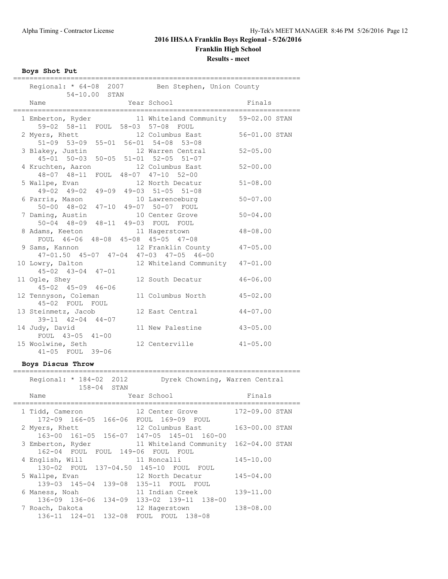**Boys Shot Put**

|                   | 54-10.00 STAN                                                            | Regional: * 64-08 2007 Ben Stephen, Union County |                |  |  |  |  |  |
|-------------------|--------------------------------------------------------------------------|--------------------------------------------------|----------------|--|--|--|--|--|
|                   | Name<br>-----------------------------------                              | Year School                                      | Finals         |  |  |  |  |  |
|                   | 1 Emberton, Ryder<br>59-02 58-11 FOUL 58-03 57-08 FOUL                   | 11 Whiteland Community 59-02.00 STAN             |                |  |  |  |  |  |
|                   | 2 Myers, Rhett<br>51-09 53-09 55-01 56-01 54-08 53-08                    | 12 Columbus East                                 | 56-01.00 STAN  |  |  |  |  |  |
|                   | 3 Blakey, Justin<br>45-01 50-03 50-05 51-01 52-05 51-07                  | 12 Warren Central                                | $52 - 05.00$   |  |  |  |  |  |
|                   | 4 Kruchten, Aaron<br>48-07 48-11 FOUL 48-07 47-10 52-00                  | 12 Columbus East                                 | $52 - 00.00$   |  |  |  |  |  |
|                   | 5 Wallpe, Evan<br>49-02 49-02 49-09 49-03 51-05 51-08                    | 12 North Decatur                                 | $51 - 08.00$   |  |  |  |  |  |
|                   | 6 Parris, Mason<br>50-00 48-02 47-10 49-07 50-07 FOUL                    | 10 Lawrenceburg                                  | $50 - 07.00$   |  |  |  |  |  |
|                   | 7 Daming, Austin<br>50-04 48-09 48-11 49-03 FOUL FOUL                    | 10 Center Grove                                  | $50 - 04.00$   |  |  |  |  |  |
|                   | 8 Adams, Keeton<br>FOUL 46-06 48-08 45-08 45-05 47-08                    | 11 Hagerstown                                    | $48 - 08.00$   |  |  |  |  |  |
|                   | 9 Sams, Kannon<br>47-01.50 45-07 47-04 47-03 47-05 46-00                 | 12 Franklin County                               | $47 - 05.00$   |  |  |  |  |  |
|                   | 10 Lowry, Dalton<br>$45 - 02$ $43 - 04$ $47 - 01$                        | 12 Whiteland Community                           | 47-01.00       |  |  |  |  |  |
|                   | 11 Ogle, Shey<br>$45 - 02$ $45 - 09$ $46 - 06$                           | 12 South Decatur                                 | $46 - 06.00$   |  |  |  |  |  |
|                   | 12 Tennyson, Coleman<br>45-02 FOUL FOUL                                  | 11 Columbus North                                | $45 - 02.00$   |  |  |  |  |  |
|                   | 13 Steinmetz, Jacob<br>$39-11$ $42-04$ $44-07$                           | 12 East Central                                  | $44 - 07.00$   |  |  |  |  |  |
|                   | 14 Judy, David<br>FOUL 43-05 41-00                                       | 11 New Palestine                                 | $43 - 05.00$   |  |  |  |  |  |
|                   | 15 Woolwine, Seth<br>41-05 FOUL 39-06                                    | 12 Centerville                                   | $41 - 05.00$   |  |  |  |  |  |
| Boys Discus Throw |                                                                          |                                                  |                |  |  |  |  |  |
|                   | Regional: * 184-02 2012<br>Dyrek Chowning, Warren Central<br>158-04 STAN |                                                  |                |  |  |  |  |  |
|                   | Name                                                                     | Year School                                      | Finals         |  |  |  |  |  |
|                   | 1 Tidd, Cameron<br>$166 - 05$<br>$172 - 09$                              | 12 Center Grove<br>166-06 FOUL 169-09 FOUL       | 172-09.00 STAN |  |  |  |  |  |
|                   | 2 Myers, Rhett<br>163-00 161-05 156-07 147-05 145-01 160-00              | 12 Columbus East                                 | 163-00.00 STAN |  |  |  |  |  |
|                   | 3 Emberton, Ryder<br>162-04 FOUL FOUL 149-06 FOUL FOUL                   | 11 Whiteland Community                           | 162-04.00 STAN |  |  |  |  |  |
|                   | 4 English, Will<br>FOUL 137-04.50 145-10<br>$130 - 02$                   | 11 Roncalli<br>FOUL<br>FOUL                      | 145-10.00      |  |  |  |  |  |
|                   |                                                                          |                                                  |                |  |  |  |  |  |

 $5$  Wallpe, Evan 12 North Decatur 145-04.00 139-03 145-04 139-08 135-11 FOUL FOUL 6 Maness, Noah 11 Indian Creek 139-11.00 136-09 136-06 134-09 133-02 139-11 138-00 7 Roach, Dakota 12 Hagerstown 138-08.00 136-11 124-01 132-08 FOUL FOUL 138-08